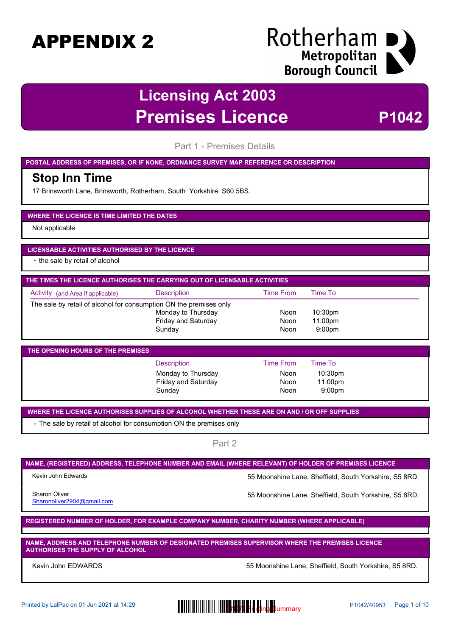### Rotherham I Metropolitan **Borough Council**

### **Licensing Act 2003 Premises Licence P1042**

Part 1 - Premises Details

**POSTAL ADDRESS OF PREMISES, OR IF NONE, ORDNANCE SURVEY MAP REFERENCE OR DESCRIPTION**

#### **Stop Inn Time**

17 Brinsworth Lane, Brinsworth, Rotherham, South Yorkshire, S60 5BS.

#### **WHERE THE LICENCE IS TIME LIMITED THE DATES**

Not applicable

#### **LICENSABLE ACTIVITIES AUTHORISED BY THE LICENCE**

- the sale by retail of alcohol

| THE TIMES THE LICENCE AUTHORISES THE CARRYING OUT OF LICENSABLE ACTIVITIES |                     |                  |                     |  |
|----------------------------------------------------------------------------|---------------------|------------------|---------------------|--|
| Activity (and Area if applicable)                                          | <b>Description</b>  | <b>Time From</b> | Time To             |  |
| The sale by retail of alcohol for consumption ON the premises only         |                     |                  |                     |  |
|                                                                            | Monday to Thursday  | Noon             | 10:30 <sub>pm</sub> |  |
|                                                                            | Friday and Saturday | Noon             | $11:00$ pm          |  |
|                                                                            | Sunday              | Noon             | 9:00 <sub>pm</sub>  |  |

| <b>THE OPENING HOURS OF THE PREMISES</b> |                            |           |                     |
|------------------------------------------|----------------------------|-----------|---------------------|
|                                          | Description                | Time From | Time To             |
|                                          | Monday to Thursday         | Noon      | 10:30 <sub>pm</sub> |
|                                          | <b>Friday and Saturday</b> | Noon      | $11:00$ pm          |
|                                          | Sunday                     | Noon      | 9:00 <sub>pm</sub>  |

**WHERE THE LICENCE AUTHORISES SUPPLIES OF ALCOHOL WHETHER THESE ARE ON AND / OR OFF SUPPLIES**

- The sale by retail of alcohol for consumption ON the premises only

Part 2

#### **NAME, (REGISTERED) ADDRESS, TELEPHONE NUMBER AND EMAIL (WHERE RELEVANT) OF HOLDER OF PREMISES LICENCE**

Kevin John Edwards **55 Moonshine Lane, Sheffield, South Yorkshire, S5 8RD.** 

Sharonoliver2904@gmail.com

Sharon Oliver **55 Moonshine Lane, Sheffield, South Yorkshire, S5 8RD.** 

**REGISTERED NUMBER OF HOLDER, FOR EXAMPLE COMPANY NUMBER, CHARITY NUMBER (WHERE APPLICABLE)**

**NAME, ADDRESS AND TELEPHONE NUMBER OF DESIGNATED PREMISES SUPERVISOR WHERE THE PREMISES LICENCE AUTHORISES THE SUPPLY OF ALCOHOL**

Kevin John EDWARDS **55 Moonshine Lane, Sheffield, South Yorkshire, S5 8RD.** State 1, 2014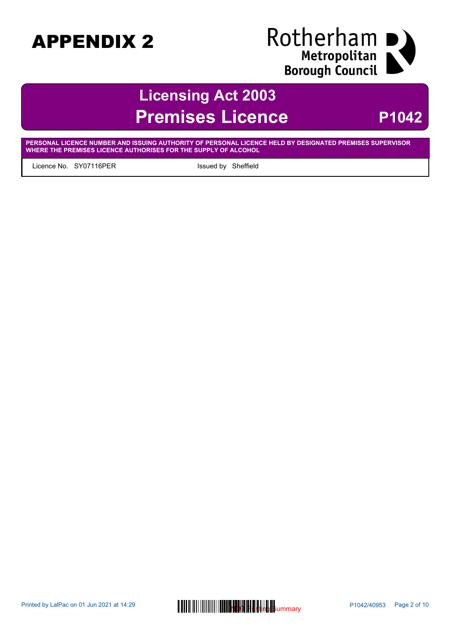# Rotherham I Metropolitan<br>Borough Council

### **Licensing Act 2003 Premises Licence** P1042

**PERSONAL LICENCE NUMBER AND ISSUING AUTHORITY OF PERSONAL LICENCE HELD BY DESIGNATED PREMISES SUPERVISOR WHERE THE PREMISES LICENCE AUTHORISES FOR THE SUPPLY OF ALCOHOL**

Licence No. SY07116PER Issued by Sheffield

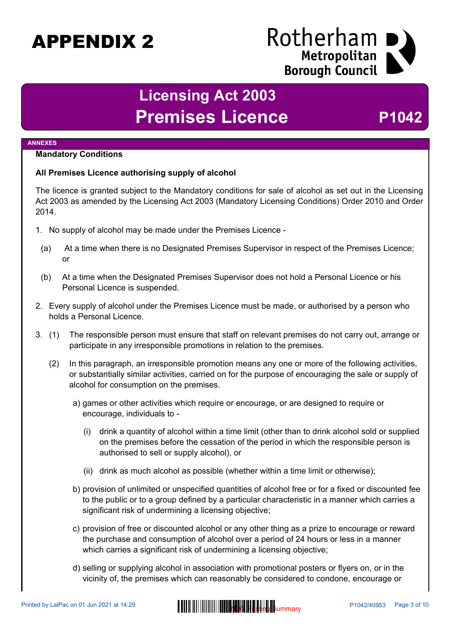### Rotherham Metropolitan **Borough Council**

### **Licensing Act 2003** Premises Licence P1042

#### **ANNEXES**

#### **Mandatory Conditions**

#### **All Premises Licence authorising supply of alcohol**

The licence is granted subject to the Mandatory conditions for sale of alcohol as set out in the Licensing Act 2003 as amended by the Licensing Act 2003 (Mandatory Licensing Conditions) Order 2010 and Order 2014.

- 1. No supply of alcohol may be made under the Premises Licence
	- (a) At a time when there is no Designated Premises Supervisor in respect of the Premises Licence; or
	- (b) At a time when the Designated Premises Supervisor does not hold a Personal Licence or his Personal Licence is suspended.
- 2. Every supply of alcohol under the Premises Licence must be made, or authorised by a person who holds a Personal Licence.
- 3. (1) The responsible person must ensure that staff on relevant premises do not carry out, arrange or participate in any irresponsible promotions in relation to the premises.
	- (2) In this paragraph, an irresponsible promotion means any one or more of the following activities, or substantially similar activities, carried on for the purpose of encouraging the sale or supply of alcohol for consumption on the premises.
		- a) games or other activities which require or encourage, or are designed to require or encourage, individuals to -
			- (i) drink a quantity of alcohol within a time limit (other than to drink alcohol sold or supplied on the premises before the cessation of the period in which the responsible person is authorised to sell or supply alcohol), or
			- (ii) drink as much alcohol as possible (whether within a time limit or otherwise);
		- b) provision of unlimited or unspecified quantities of alcohol free or for a fixed or discounted fee to the public or to a group defined by a particular characteristic in a manner which carries a significant risk of undermining a licensing objective;
		- c) provision of free or discounted alcohol or any other thing as a prize to encourage or reward the purchase and consumption of alcohol over a period of 24 hours or less in a manner which carries a significant risk of undermining a licensing objective;
		- d) selling or supplying alcohol in association with promotional posters or flyers on, or in the vicinity of, the premises which can reasonably be considered to condone, encourage or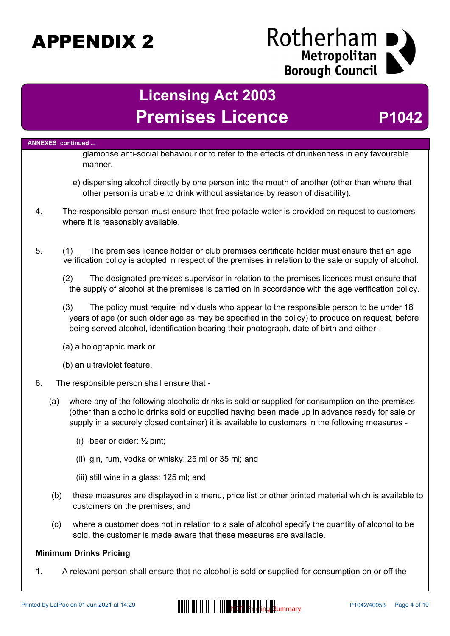# Rotherham I Exerceditan<br>| Metropolitan<br>| Borough Council

### **Licensing Act 2003 Premises Licence P1042**

|    |     | <b>ANNEXES</b> continued                                                                                                                                                                                                                                                                             |
|----|-----|------------------------------------------------------------------------------------------------------------------------------------------------------------------------------------------------------------------------------------------------------------------------------------------------------|
|    |     | glamorise anti-social behaviour or to refer to the effects of drunkenness in any favourable<br>manner.                                                                                                                                                                                               |
|    |     | e) dispensing alcohol directly by one person into the mouth of another (other than where that<br>other person is unable to drink without assistance by reason of disability).                                                                                                                        |
| 4. |     | The responsible person must ensure that free potable water is provided on request to customers<br>where it is reasonably available.                                                                                                                                                                  |
| 5. |     | (1)<br>The premises licence holder or club premises certificate holder must ensure that an age<br>verification policy is adopted in respect of the premises in relation to the sale or supply of alcohol.                                                                                            |
|    |     | (2)<br>The designated premises supervisor in relation to the premises licences must ensure that<br>the supply of alcohol at the premises is carried on in accordance with the age verification policy.                                                                                               |
|    |     | (3)<br>The policy must require individuals who appear to the responsible person to be under 18<br>years of age (or such older age as may be specified in the policy) to produce on request, before<br>being served alcohol, identification bearing their photograph, date of birth and either:-      |
|    |     | (a) a holographic mark or                                                                                                                                                                                                                                                                            |
|    |     | (b) an ultraviolet feature.                                                                                                                                                                                                                                                                          |
| 6. |     | The responsible person shall ensure that -                                                                                                                                                                                                                                                           |
|    | (a) | where any of the following alcoholic drinks is sold or supplied for consumption on the premises<br>(other than alcoholic drinks sold or supplied having been made up in advance ready for sale or<br>supply in a securely closed container) it is available to customers in the following measures - |
|    |     | (i) beer or cider: $\frac{1}{2}$ pint;                                                                                                                                                                                                                                                               |
|    |     | (ii) gin, rum, vodka or whisky: 25 ml or 35 ml; and                                                                                                                                                                                                                                                  |
|    |     | (iii) still wine in a glass: 125 ml; and                                                                                                                                                                                                                                                             |
|    | (b) | these measures are displayed in a menu, price list or other printed material which is available to<br>customers on the premises; and                                                                                                                                                                 |
|    | (c) | where a customer does not in relation to a sale of alcohol specify the quantity of alcohol to be<br>sold, the customer is made aware that these measures are available.                                                                                                                              |
|    |     | <b>Minimum Drinks Pricing</b>                                                                                                                                                                                                                                                                        |
| 1. |     | A relevant person shall ensure that no alcohol is sold or supplied for consumption on or off the                                                                                                                                                                                                     |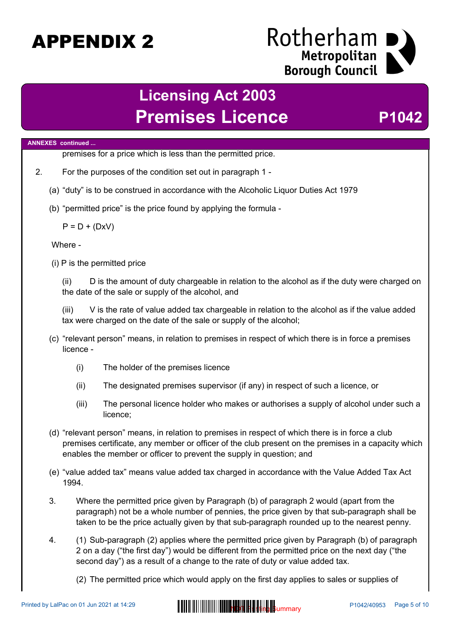### Rotherham Metropolitan **Borough Council**

### **Licensing Act 2003** Premises Licence P1042

#### **ANNEXES continued ...**

premises for a price which is less than the permitted price.

- 2. For the purposes of the condition set out in paragraph 1
	- (a) "duty" is to be construed in accordance with the Alcoholic Liquor Duties Act 1979
	- (b) "permitted price" is the price found by applying the formula -

 $P = D + (DxV)$ 

Where -

(i) P is the permitted price

(ii) D is the amount of duty chargeable in relation to the alcohol as if the duty were charged on the date of the sale or supply of the alcohol, and

(iii) V is the rate of value added tax chargeable in relation to the alcohol as if the value added tax were charged on the date of the sale or supply of the alcohol;

- (c) "relevant person" means, in relation to premises in respect of which there is in force a premises licence -
	- (i) The holder of the premises licence
	- (ii) The designated premises supervisor (if any) in respect of such a licence, or
	- (iii) The personal licence holder who makes or authorises a supply of alcohol under such a licence;
- (d) "relevant person" means, in relation to premises in respect of which there is in force a club premises certificate, any member or officer of the club present on the premises in a capacity which enables the member or officer to prevent the supply in question; and
- (e) "value added tax" means value added tax charged in accordance with the Value Added Tax Act 1994.
- 3. Where the permitted price given by Paragraph (b) of paragraph 2 would (apart from the paragraph) not be a whole number of pennies, the price given by that sub-paragraph shall be taken to be the price actually given by that sub-paragraph rounded up to the nearest penny.
- 4. (1) Sub-paragraph (2) applies where the permitted price given by Paragraph (b) of paragraph 2 on a day ("the first day") would be different from the permitted price on the next day ("the second day") as a result of a change to the rate of duty or value added tax.

(2) The permitted price which would apply on the first day applies to sales or supplies of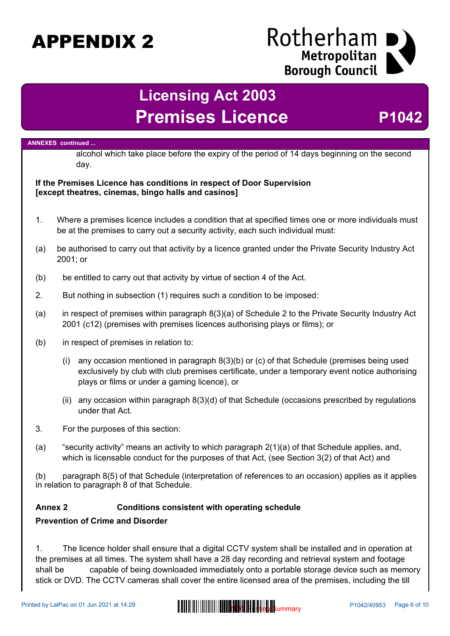### Rotherham Metropolitan **Borough Council**

### **Licensing Act 2003 Premises Licence <b>P1042**

#### **ANNEXES continued ...**

alcohol which take place before the expiry of the period of 14 days beginning on the second day.

#### **If the Premises Licence has conditions in respect of Door Supervision [except theatres, cinemas, bingo halls and casinos]**

- 1. Where a premises licence includes a condition that at specified times one or more individuals must be at the premises to carry out a security activity, each such individual must:
- (a) be authorised to carry out that activity by a licence granted under the Private Security Industry Act 2001; or
- (b) be entitled to carry out that activity by virtue of section 4 of the Act.
- 2. But nothing in subsection (1) requires such a condition to be imposed:
- (a) in respect of premises within paragraph 8(3)(a) of Schedule 2 to the Private Security Industry Act 2001 (c12) (premises with premises licences authorising plays or films); or
- (b) in respect of premises in relation to:
	- (i) any occasion mentioned in paragraph 8(3)(b) or (c) of that Schedule (premises being used exclusively by club with club premises certificate, under a temporary event notice authorising plays or films or under a gaming licence), or
	- (ii) any occasion within paragraph 8(3)(d) of that Schedule (occasions prescribed by regulations under that Act.
- 3. For the purposes of this section:
- (a) "security activity" means an activity to which paragraph 2(1)(a) of that Schedule applies, and, which is licensable conduct for the purposes of that Act, (see Section 3(2) of that Act) and

(b) paragraph 8(5) of that Schedule (interpretation of references to an occasion) applies as it applies in relation to paragraph 8 of that Schedule.

#### **Annex 2 Conditions consistent with operating schedule**

#### **Prevention of Crime and Disorder**

1. The licence holder shall ensure that a digital CCTV system shall be installed and in operation at the premises at all times. The system shall have a 28 day recording and retrieval system and footage shall be capable of being downloaded immediately onto a portable storage device such as memory stick or DVD. The CCTV cameras shall cover the entire licensed area of the premises, including the till

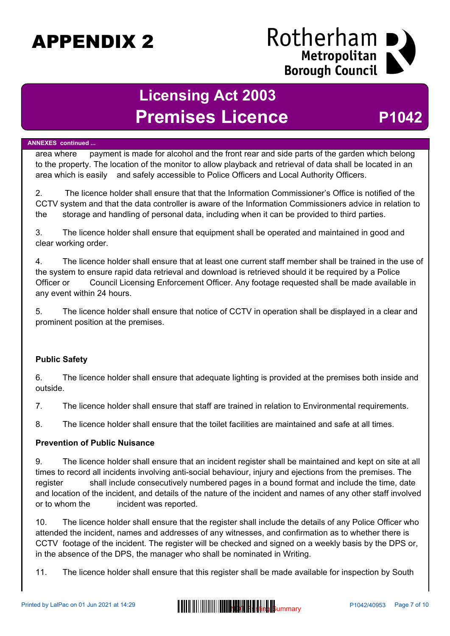### Rotherham Metropolitan **Borough Council**

### **Licensing Act 2003 Premises Licence <b>P1042**

#### **ANNEXES continued ...**

area where payment is made for alcohol and the front rear and side parts of the garden which belong to the property. The location of the monitor to allow playback and retrieval of data shall be located in an area which is easily and safely accessible to Police Officers and Local Authority Officers.

2. The licence holder shall ensure that that the Information Commissioner's Office is notified of the CCTV system and that the data controller is aware of the Information Commissioners advice in relation to the storage and handling of personal data, including when it can be provided to third parties.

3. The licence holder shall ensure that equipment shall be operated and maintained in good and clear working order.

4. The licence holder shall ensure that at least one current staff member shall be trained in the use of the system to ensure rapid data retrieval and download is retrieved should it be required by a Police Officer or Council Licensing Enforcement Officer. Any footage requested shall be made available in any event within 24 hours.

5. The licence holder shall ensure that notice of CCTV in operation shall be displayed in a clear and prominent position at the premises.

#### **Public Safety**

6. The licence holder shall ensure that adequate lighting is provided at the premises both inside and outside.

7. The licence holder shall ensure that staff are trained in relation to Environmental requirements.

8. The licence holder shall ensure that the toilet facilities are maintained and safe at all times.

#### **Prevention of Public Nuisance**

9. The licence holder shall ensure that an incident register shall be maintained and kept on site at all times to record all incidents involving anti-social behaviour, injury and ejections from the premises. The register shall include consecutively numbered pages in a bound format and include the time, date and location of the incident, and details of the nature of the incident and names of any other staff involved or to whom the incident was reported.

10. The licence holder shall ensure that the register shall include the details of any Police Officer who attended the incident, names and addresses of any witnesses, and confirmation as to whether there is CCTV footage of the incident. The register will be checked and signed on a weekly basis by the DPS or, in the absence of the DPS, the manager who shall be nominated in Writing.

11. The licence holder shall ensure that this register shall be made available for inspection by South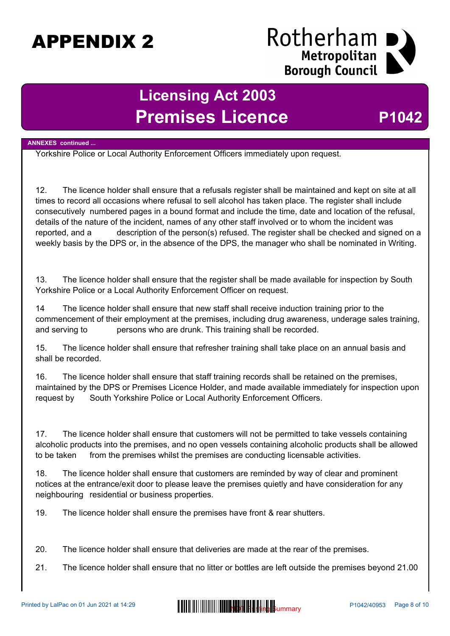### Rotherham Metropolitan **Borough Council**

### **Licensing Act 2003 Premises Licence <b>P1042**

#### **ANNEXES continued ...**

Yorkshire Police or Local Authority Enforcement Officers immediately upon request.

12. The licence holder shall ensure that a refusals register shall be maintained and kept on site at all times to record all occasions where refusal to sell alcohol has taken place. The register shall include consecutively numbered pages in a bound format and include the time, date and location of the refusal, details of the nature of the incident, names of any other staff involved or to whom the incident was reported, and a description of the person(s) refused. The register shall be checked and signed on a weekly basis by the DPS or, in the absence of the DPS, the manager who shall be nominated in Writing.

13. The licence holder shall ensure that the register shall be made available for inspection by South Yorkshire Police or a Local Authority Enforcement Officer on request.

14 The licence holder shall ensure that new staff shall receive induction training prior to the commencement of their employment at the premises, including drug awareness, underage sales training, and serving to persons who are drunk. This training shall be recorded.

15. The licence holder shall ensure that refresher training shall take place on an annual basis and shall be recorded.

16. The licence holder shall ensure that staff training records shall be retained on the premises, maintained by the DPS or Premises Licence Holder, and made available immediately for inspection upon request by South Yorkshire Police or Local Authority Enforcement Officers.

17. The licence holder shall ensure that customers will not be permitted to take vessels containing alcoholic products into the premises, and no open vessels containing alcoholic products shall be allowed to be taken from the premises whilst the premises are conducting licensable activities.

18. The licence holder shall ensure that customers are reminded by way of clear and prominent notices at the entrance/exit door to please leave the premises quietly and have consideration for any neighbouring residential or business properties.

19. The licence holder shall ensure the premises have front & rear shutters.

20. The licence holder shall ensure that deliveries are made at the rear of the premises.

21. The licence holder shall ensure that no litter or bottles are left outside the premises beyond 21.00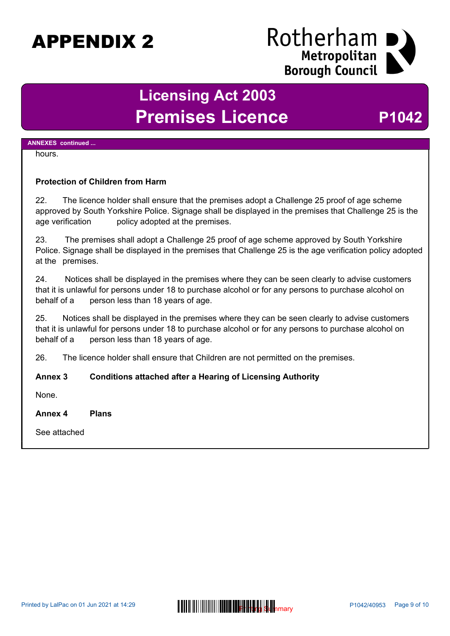### Rotherham Metropolitan **Borough Council**

### **Licensing Act 2003** Premises Licence P1042

#### **ANNEXES continued ...**

#### hours.

#### **Protection of Children from Harm**

22. The licence holder shall ensure that the premises adopt a Challenge 25 proof of age scheme approved by South Yorkshire Police. Signage shall be displayed in the premises that Challenge 25 is the age verification policy adopted at the premises.

23. The premises shall adopt a Challenge 25 proof of age scheme approved by South Yorkshire Police. Signage shall be displayed in the premises that Challenge 25 is the age verification policy adopted at the premises.

24. Notices shall be displayed in the premises where they can be seen clearly to advise customers that it is unlawful for persons under 18 to purchase alcohol or for any persons to purchase alcohol on behalf of a person less than 18 years of age.

25. Notices shall be displayed in the premises where they can be seen clearly to advise customers that it is unlawful for persons under 18 to purchase alcohol or for any persons to purchase alcohol on behalf of a person less than 18 years of age.

26. The licence holder shall ensure that Children are not permitted on the premises.

#### **Annex 3 Conditions attached after a Hearing of Licensing Authority**

None.

**Annex 4 Plans**

See attached